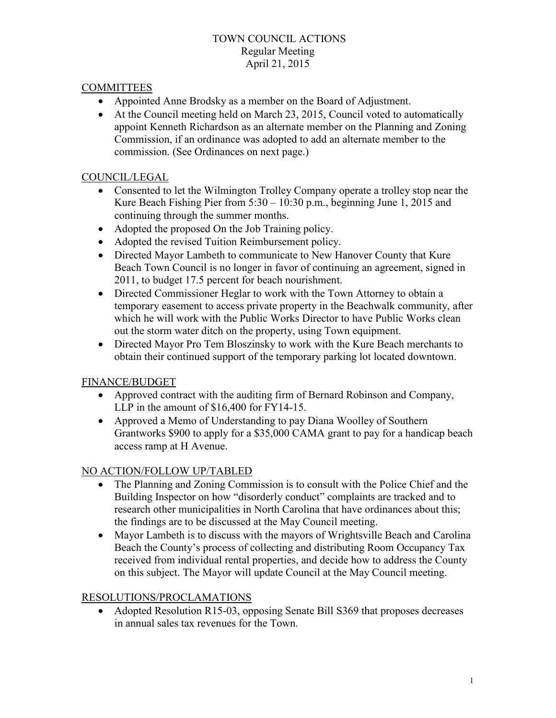## TOWN COUNCIL ACTIONS Regular Meeting April 21, 2015

## **COMMITTEES**

- Appointed Anne Brodsky as a member on the Board of Adjustment.
- At the Council meeting held on March 23, 2015, Council voted to automatically appoint Kenneth Richardson as an alternate member on the Planning and Zoning Commission, if an ordinance was adopted to add an alternate member to the commission. (See Ordinances on next page.)

## COUNCIL/LEGAL

- Consented to let the Wilmington Trolley Company operate a trolley stop near the Kure Beach Fishing Pier from 5:30 – 10:30 p.m., beginning June 1, 2015 and continuing through the summer months.
- Adopted the proposed On the Job Training policy.
- Adopted the revised Tuition Reimbursement policy.
- Directed Mayor Lambeth to communicate to New Hanover County that Kure Beach Town Council is no longer in favor of continuing an agreement, signed in 2011, to budget 17.5 percent for beach nourishment.
- Directed Commissioner Heglar to work with the Town Attorney to obtain a temporary easement to access private property in the Beachwalk community, after which he will work with the Public Works Director to have Public Works clean out the storm water ditch on the property, using Town equipment.
- Directed Mayor Pro Tem Bloszinsky to work with the Kure Beach merchants to obtain their continued support of the temporary parking lot located downtown.

# FINANCE/BUDGET

- Approved contract with the auditing firm of Bernard Robinson and Company, LLP in the amount of \$16,400 for FY14-15.
- Approved a Memo of Understanding to pay Diana Woolley of Southern Grantworks \$900 to apply for a \$35,000 CAMA grant to pay for a handicap beach access ramp at H Avenue.

#### NO ACTION/FOLLOW UP/TABLED

- The Planning and Zoning Commission is to consult with the Police Chief and the Building Inspector on how "disorderly conduct" complaints are tracked and to research other municipalities in North Carolina that have ordinances about this; the findings are to be discussed at the May Council meeting.
- Mayor Lambeth is to discuss with the mayors of Wrightsville Beach and Carolina Beach the County's process of collecting and distributing Room Occupancy Tax received from individual rental properties, and decide how to address the County on this subject. The Mayor will update Council at the May Council meeting.

#### RESOLUTIONS/PROCLAMATIONS

• Adopted Resolution R15-03, opposing Senate Bill S369 that proposes decreases in annual sales tax revenues for the Town.